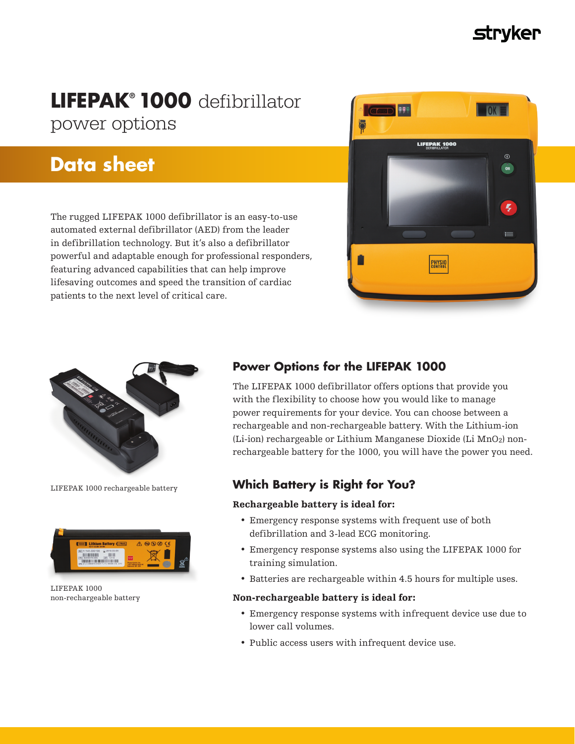# **Strvker**

# **LIFEPAK® 1000** defibrillator power options

# **Data sheet**

The rugged LIFEPAK 1000 defibrillator is an easy-to-use automated external defibrillator (AED) from the leader in defibrillation technology. But it's also a defibrillator powerful and adaptable enough for professional responders, featuring advanced capabilities that can help improve lifesaving outcomes and speed the transition of cardiac patients to the next level of critical care.





LIFEPAK 1000 rechargeable battery



LIFEPAK 1000 non-rechargeable battery

# **Power Options for the LIFEPAK 1000**

The LIFEPAK 1000 defibrillator offers options that provide you with the flexibility to choose how you would like to manage power requirements for your device. You can choose between a rechargeable and non-rechargeable battery. With the Lithium-ion (Li-ion) rechargeable or Lithium Manganese Dioxide (Li MnO2) nonrechargeable battery for the 1000, you will have the power you need.

# **Which Battery is Right for You?**

# Rechargeable battery is ideal for:

- Emergency response systems with frequent use of both defibrillation and 3-lead ECG monitoring.
- Emergency response systems also using the LIFEPAK 1000 for training simulation.
- Batteries are rechargeable within 4.5 hours for multiple uses.

# Non-rechargeable battery is ideal for:

- Emergency response systems with infrequent device use due to lower call volumes.
- Public access users with infrequent device use.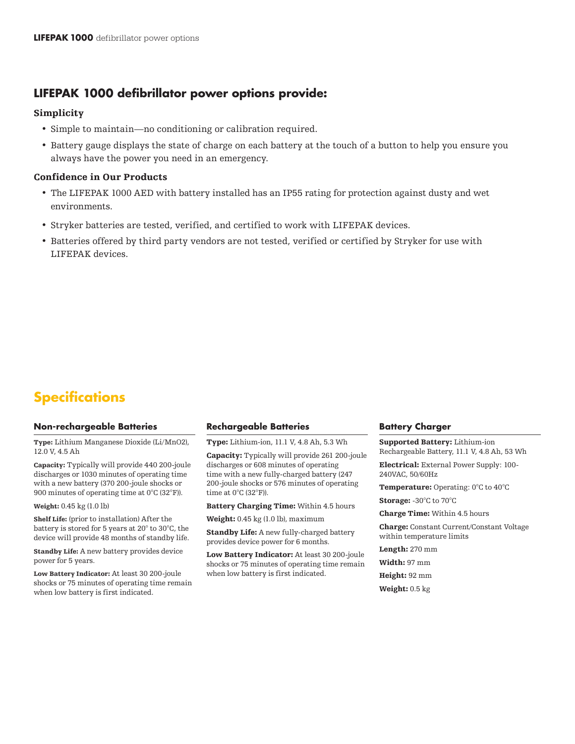# **LIFEPAK 1000 defibrillator power options provide:**

## Simplicity

- Simple to maintain—no conditioning or calibration required.
- Battery gauge displays the state of charge on each battery at the touch of a button to help you ensure you always have the power you need in an emergency.

## Confidence in Our Products

- The LIFEPAK 1000 AED with battery installed has an IP55 rating for protection against dusty and wet environments.
- Stryker batteries are tested, verified, and certified to work with LIFEPAK devices.
- Batteries offered by third party vendors are not tested, verified or certified by Stryker for use with LIFEPAK devices.

# **Specifications**

### **Non-rechargeable Batteries**

Type: Lithium Manganese Dioxide (Li/MnO2), 12.0 V, 4.5 Ah

Capacity: Typically will provide 440 200-joule discharges or 1030 minutes of operating time with a new battery (370 200-joule shocks or 900 minutes of operating time at 0°C (32°F)).

#### Weight: 0.45 kg (1.0 lb)

Shelf Life: (prior to installation) After the battery is stored for 5 years at 20° to 30°C, the device will provide 48 months of standby life.

Standby Life: A new battery provides device power for 5 years.

Low Battery Indicator: At least 30 200-joule shocks or 75 minutes of operating time remain when low battery is first indicated.

### **Rechargeable Batteries**

Type: Lithium-ion, 11.1 V, 4.8 Ah, 5.3 Wh

Capacity: Typically will provide 261 200-joule discharges or 608 minutes of operating time with a new fully-charged battery (247 200-joule shocks or 576 minutes of operating time at  $0^{\circ}$ C (32 $^{\circ}$ F)).

Battery Charging Time: Within 4.5 hours

Weight: 0.45 kg (1.0 lb), maximum

Standby Life: A new fully-charged battery provides device power for 6 months.

Low Battery Indicator: At least 30 200-joule shocks or 75 minutes of operating time remain when low battery is first indicated.

### **Battery Charger**

Supported Battery: Lithium-ion Rechargeable Battery, 11.1 V, 4.8 Ah, 53 Wh

Electrical: External Power Supply: 100- 240VAC, 50/60Hz

Temperature: Operating: 0°C to 40°C

Storage: -30°C to 70°C

Charge Time: Within 4.5 hours

Charge: Constant Current/Constant Voltage within temperature limits

Length: 270 mm

Width: 97 mm

Height: 92 mm

Weight: 0.5 kg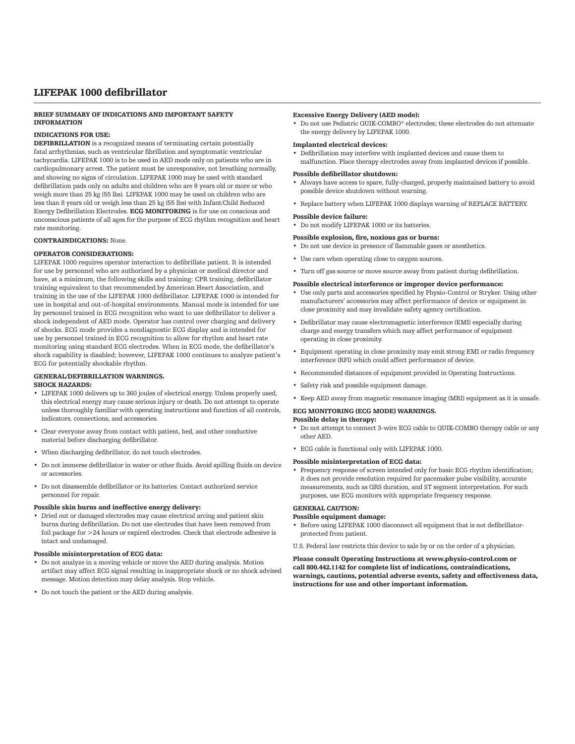## LIFEPAK 1000 defibrillator

#### BRIEF SUMMARY OF INDICATIONS AND IMPORTANT SAFETY INFORMATION

#### INDICATIONS FOR USE:

DEFIBRILLATION is a recognized means of terminating certain potentially fatal arrhythmias, such as ventricular fibrillation and symptomatic ventricular tachycardia. LIFEPAK 1000 is to be used in AED mode only on patients who are in cardiopulmonary arrest. The patient must be unresponsive, not breathing normally, and showing no signs of circulation. LIFEPAK 1000 may be used with standard defibrillation pads only on adults and children who are 8 years old or more or who weigh more than 25 kg (55 lbs). LIFEPAK 1000 may be used on children who are less than 8 years old or weigh less than 25 kg (55 lbs) with Infant/Child Reduced Energy Defibrillation Electrodes. ECG MONITORING is for use on conscious and unconscious patients of all ages for the purpose of ECG rhythm recognition and heart rate monitoring.

#### CONTRAINDICATIONS: None.

#### OPERATOR CONSIDERATIONS:

LIFEPAK 1000 requires operator interaction to defibrillate patient. It is intended for use by personnel who are authorized by a physician or medical director and have, at a minimum, the following skills and training: CPR training, defibrillator training equivalent to that recommended by American Heart Association, and training in the use of the LIFEPAK 1000 defibrillator. LIFEPAK 1000 is intended for use in hospital and out-of-hospital environments. Manual mode is intended for use by personnel trained in ECG recognition who want to use defibrillator to deliver a shock independent of AED mode. Operator has control over charging and delivery of shocks. ECG mode provides a nondiagnostic ECG display and is intended for use by personnel trained in ECG recognition to allow for rhythm and heart rate monitoring using standard ECG electrodes. When in ECG mode, the defibrillator's shock capability is disabled; however, LIFEPAK 1000 continues to analyze patient's ECG for potentially shockable rhythm.

#### GENERAL/DEFIBRILLATION WARNINGS.

#### SHOCK HAZARDS:

- LIFEPAK 1000 delivers up to 360 joules of electrical energy. Unless properly used, this electrical energy may cause serious injury or death. Do not attempt to operate unless thoroughly familiar with operating instructions and function of all controls, indicators, connections, and accessories.
- Clear everyone away from contact with patient, bed, and other conductive material before discharging defibrillator.
- When discharging defibrillator, do not touch electrodes.
- Do not immerse defibrillator in water or other fluids. Avoid spilling fluids on device or accessories.
- Do not disassemble defibrillator or its batteries. Contact authorized service personnel for repair.

#### Possible skin burns and ineffective energy delivery:

• Dried out or damaged electrodes may cause electrical arcing and patient skin burns during defibrillation. Do not use electrodes that have been removed from foil package for >24 hours or expired electrodes. Check that electrode adhesive is intact and undamaged.

#### Possible misinterpretation of ECG data:

- Do not analyze in a moving vehicle or move the AED during analysis. Motion artifact may affect ECG signal resulting in inappropriate shock or no shock advised message. Motion detection may delay analysis. Stop vehicle.
- Do not touch the patient or the AED during analysis.

#### Excessive Energy Delivery (AED mode):

• Do not use Pediatric QUIK-COMBO® electrodes; these electrodes do not attenuate the energy delivery by LIFEPAK 1000.

#### Implanted electrical devices:

• Defibrillation may interfere with implanted devices and cause them to malfunction. Place therapy electrodes away from implanted devices if possible.

#### Possible defibrillator shutdown:

- Always have access to spare, fully-charged, properly maintained battery to avoid possible device shutdown without warning.
- Replace battery when LIFEPAK 1000 displays warning of REPLACE BATTERY.

#### Possible device failure:

• Do not modify LIFEPAK 1000 or its batteries.

#### Possible explosion, fire, noxious gas or burns:

- Do not use device in presence of flammable gases or anesthetics.
- Use care when operating close to oxygen sources.
- Turn off gas source or move source away from patient during defibrillation.

#### Possible electrical interference or improper device performance:

- Use only parts and accessories specified by Physio-Control or Stryker. Using other manufacturers' accessories may affect performance of device or equipment in close proximity and may invalidate safety agency certification.
- Defibrillator may cause electromagnetic interference (EMI) especially during charge and energy transfers which may affect performance of equipment operating in close proximity.
- Equipment operating in close proximity may emit strong EMI or radio frequency interference (RFI) which could affect performance of device.
- Recommended distances of equipment provided in Operating Instructions.
- Safety risk and possible equipment damage.
- Keep AED away from magnetic resonance imaging (MRI) equipment as it is unsafe.

#### ECG MONITORING (ECG MODE) WARNINGS.

- Possible delay in therapy: • Do not attempt to connect 3-wire ECG cable to QUIK-COMBO therapy cable or any other AED.
- ECG cable is functional only with LIFEPAK 1000.

#### Possible misinterpretation of ECG data:

• Frequency response of screen intended only for basic ECG rhythm identification; it does not provide resolution required for pacemaker pulse visibility, accurate measurements, such as QRS duration, and ST segment interpretation. For such purposes, use ECG monitors with appropriate frequency response.

#### GENERAL CAUTION:

#### Possible equipment damage:

- Before using LIFEPAK 1000 disconnect all equipment that is not defibrillatorprotected from patient.
- U.S. Federal law restricts this device to sale by or on the order of a physician.

Please consult Operating Instructions at www.physio-control.com or call 800.442.1142 for complete list of indications, contraindications, warnings, cautions, potential adverse events, safety and effectiveness data, instructions for use and other important information.